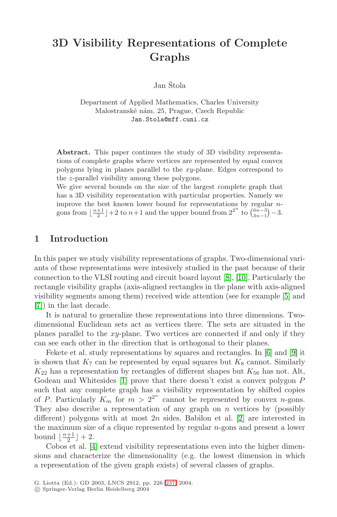## **3D Visibility Representations of Complete Graphs**

Jan Štola

Department of Applied Mathematics, Charles University Malostranské nám. 25, Prague, Czech Republic Jan.Stola@mff.cuni.cz

**Abstract.** This paper continues the study of 3D visibility representations of complete graphs where vertices are represented by equal convex polygons lying in planes parallel to the xy-plane. Edges correspond to the z-parallel visibility among these polygons.

We give several bounds on the size of the largest complete graph that has a 3D visibility representation with particular properties. Namely we improve the best known lower bound for representations by regular  $n$ gons from  $\lfloor \frac{n+1}{2} \rfloor + 2$  to  $n+1$  and the upper bound from  $2^{2^n}$  to  $\binom{6n-3}{3n-1} - 3$ .

## **1 Introduction**

In this paper we study visibility representations of graphs. Two-dimensional variants of these representations were intesively studied in the past because of their connection to the VLSI routing and circuit board layout [\[8\]](#page-11-0), [\[10\]](#page-11-0). Particularly the rectangle visibility graphs (axis-aligned rectangles in the plane with axis-aligned visibility segments among them) received wide attention (see for example [\[5\]](#page-11-0) and [\[7\]](#page-11-0)) in the last decade.

It is natural to generalize these representations into three dimensions. Twodimensional Euclidean sets act as vertices there. The sets are situated in the planes parallel to the  $xy$ -plane. Two vertices are connected if and only if they can see each other in the direction that is orthogonal to their planes.

Fekete et al. study representations by squares and rectangles. In [\[6\]](#page-11-0) and [\[9\]](#page-11-0) it is shown that  $K_7$  can be represented by equal squares but  $K_8$  cannot. Similarly  $K_{22}$  has a representation by rectangles of different shapes but  $K_{56}$  has not. Alt, Godeau and Whitesides [\[1\]](#page-11-0) prove that there doesn't exist a convex polygon P such that any complete graph has a visibility representation by shifted copies of P. Particularly  $K_m$  for  $m > 2^{2^n}$  cannot be represented by convex *n*-gons. They also describe a representation of any graph on  $n$  vertices by (possibly different) polygons with at most  $2n$  sides. Babilon et al. [\[2\]](#page-11-0) are interested in the maximum size of a clique represented by regular  $n$ -gons and present a lower bound  $\lfloor \frac{n+1}{2} \rfloor + 2$ .

Cobos et al. [\[4\]](#page-11-0) extend visibility representations even into the higher dimensions and characterize the dimensionality (e.g. the lowest dimension in which a representation of the given graph exists) of several classes of graphs.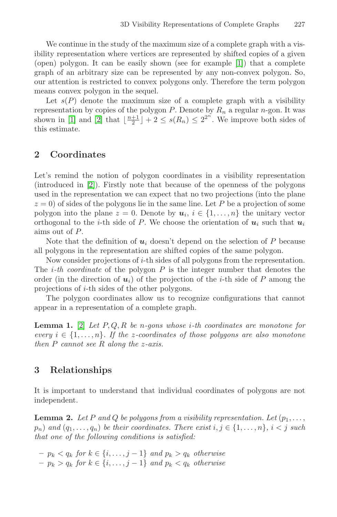We continue in the study of the maximum size of a complete graph with a visibility representation where vertices are represented by shifted copies of a given (open) polygon. It can be easily shown (see for example [\[1\]](#page-11-0)) that a complete graph of an arbitrary size can be represented by any non-convex polygon. So, our attention is restricted to convex polygons only. Therefore the term polygon means convex polygon in the sequel.

Let  $s(P)$  denote the maximum size of a complete graph with a visibility representation by copies of the polygon  $P$ . Denote by  $R_n$  a regular n-gon. It was shown in [\[1\]](#page-11-0) and [\[2\]](#page-11-0) that  $\lfloor \frac{n+1}{2} \rfloor + 2 \leq s(R_n) \leq 2^{2^n}$ . We improve both sides of this estimate.

## **2 Coordinates**

Let's remind the notion of polygon coordinates in a visibility representation (introduced in [\[2\]](#page-11-0)). Firstly note that because of the openness of the polygons used in the representation we can expect that no two projections (into the plane  $z = 0$ ) of sides of the polygons lie in the same line. Let P be a projection of some polygon into the plane  $z = 0$ . Denote by  $u_i, i \in \{1, \ldots, n\}$  the unitary vector orthogonal to the *i*-th side of P. We choose the orientation of  $u_i$  such that  $u_i$ aims out of P.

Note that the definition of  $u_i$  doesn't depend on the selection of  $P$  because all polygons in the representation are shifted copies of the same polygon.

Now consider projections of i-th sides of all polygons from the representation. The *i-th coordinate* of the polygon  $P$  is the integer number that denotes the order (in the direction of  $u_i$ ) of the projection of the *i*-th side of P among the projections of i-th sides of the other polygons.

The polygon coordinates allow us to recognize configurations that cannot appear in a representation of a complete graph.

**Lemma 1.** [\[2\]](#page-11-0) Let  $P, Q, R$  be n-gons whose *i*-th coordinates are monotone for every  $i \in \{1, \ldots, n\}$ . If the z-coordinates of those polygons are also monotone then P cannot see R along the z-axis.

## **3 Relationships**

It is important to understand that individual coordinates of polygons are not independent.

**Lemma 2.** Let P and Q be polygons from a visibility representation. Let  $(p_1, \ldots, p_n)$  $p_n)$  and  $(q_1,\ldots,q_n)$  be their coordinates. There exist  $i,j \in \{1,\ldots,n\}$ ,  $i < j$  such that one of the following conditions is satisfied:

 $-p_k < q_k$  for  $k \in \{i, \ldots, j-1\}$  and  $p_k > q_k$  otherwise  $-p_k > q_k$  for  $k \in \{i, \ldots, j-1\}$  and  $p_k < q_k$  otherwise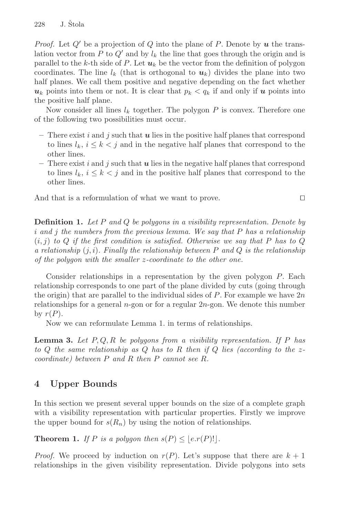*Proof.* Let  $Q'$  be a projection of  $Q$  into the plane of  $P$ . Denote by  $u$  the translation vector from P to  $Q'$  and by  $l_k$  the line that goes through the origin and is parallel to the  $k$ -th side of  $P$ . Let  $u_k$  be the vector from the definition of polygon coordinates. The line  $l_k$  (that is orthogonal to  $u_k$ ) divides the plane into two half planes. We call them positive and negative depending on the fact whether  $u_k$  points into them or not. It is clear that  $p_k < q_k$  if and only if *u* points into the positive half plane.

Now consider all lines  $l_k$  together. The polygon P is convex. Therefore one of the following two possibilities must occur.

- **–** There exist i and j such that *u* lies in the positive half planes that correspond to lines  $l_k$ ,  $i \leq k < j$  and in the negative half planes that correspond to the other lines.
- **–** There exist i and j such that *u* lies in the negative half planes that correspond to lines  $l_k$ ,  $i \leq k < j$  and in the positive half planes that correspond to the other lines.

And that is a reformulation of what we want to prove.  $\square$ 

**Definition 1.** Let P and Q be polygons in a visibility representation. Denote by i and j the numbers from the previous lemma. We say that  $P$  has a relationship  $(i, j)$  to Q if the first condition is satisfied. Otherwise we say that P has to Q a relationship  $(j, i)$ . Finally the relationship between P and Q is the relationship of the polygon with the smaller z-coordinate to the other one.

Consider relationships in a representation by the given polygon P. Each relationship corresponds to one part of the plane divided by cuts (going through the origin) that are parallel to the individual sides of  $P$ . For example we have  $2n$ relationships for a general n-gon or for a regular 2n-gon. We denote this number by  $r(P)$ .

Now we can reformulate Lemma 1. in terms of relationships.

**Lemma 3.** Let  $P, Q, R$  be polygons from a visibility representation. If P has to Q the same relationship as Q has to R then if Q lies (according to the  $z$ coordinate) between P and R then P cannot see R.

## **4 Upper Bounds**

In this section we present several upper bounds on the size of a complete graph with a visibility representation with particular properties. Firstly we improve the upper bound for  $s(R_n)$  by using the notion of relationships.

**Theorem 1.** If P is a polygon then  $s(P) \leq [e \cdot r(P)!]$ .

*Proof.* We proceed by induction on  $r(P)$ . Let's suppose that there are  $k + 1$ relationships in the given visibility representation. Divide polygons into sets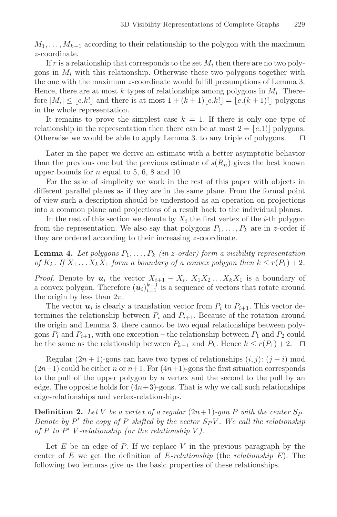$M_1,\ldots,M_{k+1}$  according to their relationship to the polygon with the maximum z-coordinate.

If r is a relationship that corresponds to the set  $M_i$  then there are no two polygons in  $M_i$  with this relationship. Otherwise these two polygons together with the one with the maximum z-coordinate would fulfill presumptions of Lemma 3. Hence, there are at most k types of relationships among polygons in  $M_i$ . Therefore  $|M_i| \leq \lfloor e.k! \rfloor$  and there is at most  $1 + (k+1)\lfloor e.k! \rfloor = \lfloor e.(k+1)! \rfloor$  polygons in the whole representation.

It remains to prove the simplest case  $k = 1$ . If there is only one type of relationship in the representation then there can be at most  $2 = \lfloor e.1 \rfloor$  polygons. Otherwise we would be able to apply Lemma 3. to any triple of polygons.  $\Box$ 

Later in the paper we derive an estimate with a better asymptotic behavior than the previous one but the previous estimate of  $s(R_n)$  gives the best known upper bounds for  $n$  equal to 5, 6, 8 and 10.

For the sake of simplicity we work in the rest of this paper with objects in different parallel planes as if they are in the same plane. From the formal point of view such a description should be understood as an operation on projections into a common plane and projections of a result back to the individual planes.

In the rest of this section we denote by  $X_i$  the first vertex of the *i*-th polygon from the representation. We also say that polygons  $P_1, \ldots, P_k$  are in z-order if they are ordered according to their increasing z-coordinate.

**Lemma 4.** Let polygons  $P_1, \ldots, P_k$  (in z-order) form a visibility representation of  $K_k$ . If  $X_1 \ldots X_k X_1$  form a boundary of a convex polygon then  $k \le r(P_1)+2$ .

*Proof.* Denote by  $u_i$  the vector  $X_{i+1} - X_i$ .  $X_1X_2 \ldots X_kX_1$  is a boundary of a convex polygon. Therefore  $(u_i)_{i=1}^{k-1}$  is a sequence of vectors that rotate around the origin by less than  $2\pi$ .

The vector  $u_i$  is clearly a translation vector from  $P_i$  to  $P_{i+1}$ . This vector determines the relationship between  $P_i$  and  $P_{i+1}$ . Because of the rotation around the origin and Lemma 3. there cannot be two equal relationships between polygons  $P_i$  and  $P_{i+1}$ , with one exception – the relationship between  $P_1$  and  $P_2$  could be the same as the relationship between  $P_{k-1}$  and  $P_k$ . Hence  $k \leq r(P_1) + 2$ .  $\Box$ 

Regular  $(2n + 1)$ -gons can have two types of relationships  $(i, j)$ :  $(j - i)$  mod  $(2n+1)$  could be either n or  $n+1$ . For  $(4n+1)$ -gons the first situation corresponds to the pull of the upper polygon by a vertex and the second to the pull by an edge. The opposite holds for  $(4n+3)$ -gons. That is why we call such relationships edge-relationships and vertex-relationships.

**Definition 2.** Let V be a vertex of a regular  $(2n+1)$ -gon P with the center  $S_P$ . Denote by  $P'$  the copy of P shifted by the vector  $S_P V$ . We call the relationship of  $P$  to  $P'$  V-relationship (or the relationship V).

Let  $E$  be an edge of  $P$ . If we replace  $V$  in the previous paragraph by the center of E we get the definition of  $E$ -relationship (the relationship  $E$ ). The following two lemmas give us the basic properties of these relationships.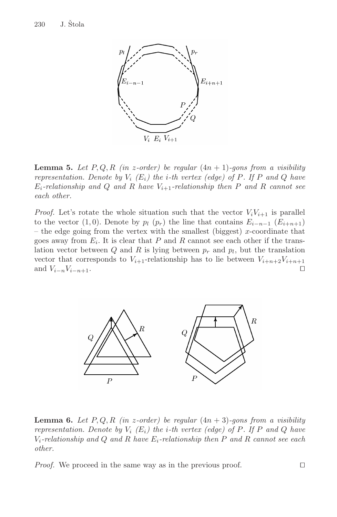

**Lemma 5.** Let  $P, Q, R$  (in z-order) be regular  $(4n + 1)$ -gons from a visibility representation. Denote by  $V_i$  (E<sub>i</sub>) the i-th vertex (edge) of P. If P and Q have  $E_i$ -relationship and Q and R have  $V_{i+1}$ -relationship then P and R cannot see each other.

*Proof.* Let's rotate the whole situation such that the vector  $V_iV_{i+1}$  is parallel to the vector (1,0). Denote by  $p_l$  ( $p_r$ ) the line that contains  $E_{i-n-1}$  ( $E_{i+n+1}$ ) – the edge going from the vertex with the smallest (biggest) x-coordinate that goes away from  $E_i$ . It is clear that P and R cannot see each other if the translation vector between  $Q$  and  $R$  is lying between  $p_r$  and  $p_l$ , but the translation vector that corresponds to  $V_{i+1}$ -relationship has to lie between  $V_{i+n+2}V_{i+n+1}$ and  $V_{i-n}V_{i-n+1}$ .



**Lemma 6.** Let  $P, Q, R$  (in z-order) be regular  $(4n + 3)$ -gons from a visibility representation. Denote by  $V_i$  (E<sub>i</sub>) the *i*-th vertex (edge) of P. If P and Q have  $V_i$ -relationship and Q and R have  $E_i$ -relationship then P and R cannot see each other.

*Proof.* We proceed in the same way as in the previous proof.  $\square$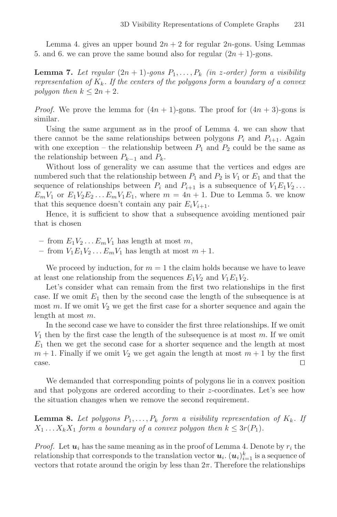Lemma 4. gives an upper bound  $2n + 2$  for regular  $2n$ -gons. Using Lemmas 5. and 6. we can prove the same bound also for regular  $(2n + 1)$ -gons.

**Lemma 7.** Let regular  $(2n + 1)$ -gons  $P_1, \ldots, P_k$  (in z-order) form a visibility representation of  $K_k$ . If the centers of the polygons form a boundary of a convex polygon then  $k \leq 2n + 2$ .

*Proof.* We prove the lemma for  $(4n + 1)$ -gons. The proof for  $(4n + 3)$ -gons is similar.

Using the same argument as in the proof of Lemma 4. we can show that there cannot be the same relationships between polygons  $P_i$  and  $P_{i+1}$ . Again with one exception – the relationship between  $P_1$  and  $P_2$  could be the same as the relationship between  $P_{k-1}$  and  $P_k$ .

Without loss of generality we can assume that the vertices and edges are numbered such that the relationship between  $P_1$  and  $P_2$  is  $V_1$  or  $E_1$  and that the sequence of relationships between  $P_i$  and  $P_{i+1}$  is a subsequence of  $V_1E_1V_2...$  $E_mV_1$  or  $E_1V_2E_2...E_mV_1E_1$ , where  $m = 4n + 1$ . Due to Lemma 5. we know that this sequence doesn't contain any pair  $E_iV_{i+1}$ .

Hence, it is sufficient to show that a subsequence avoiding mentioned pair that is chosen

 $-$  from  $E_1V_2 \ldots E_mV_1$  has length at most m,

 $-$  from  $V_1E_1V_2...E_mV_1$  has length at most  $m+1$ .

We proceed by induction, for  $m = 1$  the claim holds because we have to leave at least one relationship from the sequences  $E_1V_2$  and  $V_1E_1V_2$ .

Let's consider what can remain from the first two relationships in the first case. If we omit  $E_1$  then by the second case the length of the subsequence is at most m. If we omit  $V_2$  we get the first case for a shorter sequence and again the length at most m.

In the second case we have to consider the first three relationships. If we omit  $V_1$  then by the first case the length of the subsequence is at most m. If we omit  $E_1$  then we get the second case for a shorter sequence and the length at most  $m + 1$ . Finally if we omit  $V_2$  we get again the length at most  $m + 1$  by the first  $\Box$ 

We demanded that corresponding points of polygons lie in a convex position and that polygons are ordered according to their z-coordinates. Let's see how the situation changes when we remove the second requirement.

**Lemma 8.** Let polygons  $P_1, \ldots, P_k$  form a visibility representation of  $K_k$ . If  $X_1 \ldots X_k X_1$  form a boundary of a convex polygon then  $k \leq 3r(P_1)$ .

*Proof.* Let  $u_i$  has the same meaning as in the proof of Lemma 4. Denote by  $r_i$  the relationship that corresponds to the translation vector  $\pmb{u}_i$ .  $(\pmb{u}_i)_{i=1}^k$  is a sequence of vectors that rotate around the origin by less than  $2\pi$ . Therefore the relationships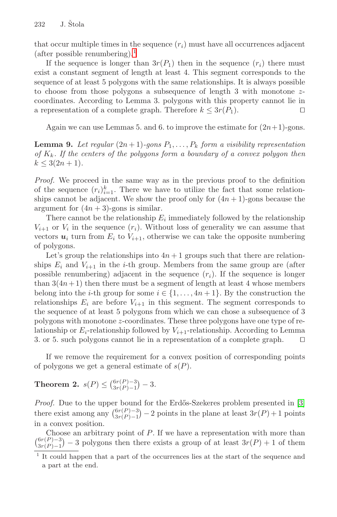that occur multiple times in the sequence  $(r_i)$  must have all occurrences adjacent  $(after possible renumbering).<sup>1</sup>$ 

If the sequence is longer than  $3r(P_1)$  then in the sequence  $(r_i)$  there must exist a constant segment of length at least 4. This segment corresponds to the sequence of at least 5 polygons with the same relationships. It is always possible to choose from those polygons a subsequence of length 3 with monotone zcoordinates. According to Lemma 3. polygons with this property cannot lie in a representation of a complete graph. Therefore  $k \leq 3r(P_1)$ .

Again we can use Lemmas 5. and 6. to improve the estimate for  $(2n+1)$ -gons.

**Lemma 9.** Let regular  $(2n+1)$ -gons  $P_1, \ldots, P_k$  form a visibility representation of  $K_k$ . If the centers of the polygons form a boundary of a convex polygon then  $k \leq 3(2n+1)$ .

Proof. We proceed in the same way as in the previous proof to the definition of the sequence  $(r_i)_{i=1}^k$ . There we have to utilize the fact that some relationships cannot be adjacent. We show the proof only for  $(4n + 1)$ -gons because the argument for  $(4n + 3)$ -gons is similar.

There cannot be the relationship  $E_i$  immediately followed by the relationship  $V_{i+1}$  or  $V_i$  in the sequence  $(r_i)$ . Without loss of generality we can assume that vectors  $u_i$  turn from  $E_i$  to  $V_{i+1}$ , otherwise we can take the opposite numbering of polygons.

Let's group the relationships into  $4n+1$  groups such that there are relationships  $E_i$  and  $V_{i+1}$  in the *i*-th group. Members from the same group are (after possible renumbering) adjacent in the sequence  $(r_i)$ . If the sequence is longer than  $3(4n+1)$  then there must be a segment of length at least 4 whose members belong into the *i*-th group for some  $i \in \{1, \ldots, 4n+1\}$ . By the construction the relationships  $E_i$  are before  $V_{i+1}$  in this segment. The segment corresponds to the sequence of at least 5 polygons from which we can chose a subsequence of 3 polygons with monotone z-coordinates. These three polygons have one type of relationship or  $E_i$ -relationship followed by  $V_{i+1}$ -relationship. According to Lemma 3. or 5. such polygons cannot lie in a representation of a complete graph. 

If we remove the requirement for a convex position of corresponding points of polygons we get a general estimate of  $s(P)$ .

# **Theorem 2.**  $s(P) \leq {6r(P)-3 \choose 3r(P)-1} - 3$ .

*Proof.* Due to the upper bound for the Erdős-Szekeres problem presented in [\[3\]](#page-11-0) there exist among any  $\binom{6r(P)-3}{3r(P)-1} - 2$  points in the plane at least  $3r(P) + 1$  points in a convex position.

Choose an arbitrary point of P. If we have a representation with more than  $\binom{6r(P)-3}{3r(P)-1}$  – 3 polygons then there exists a group of at least  $3r(P) + 1$  of them

<sup>1</sup> It could happen that a part of the occurrences lies at the start of the sequence and a part at the end.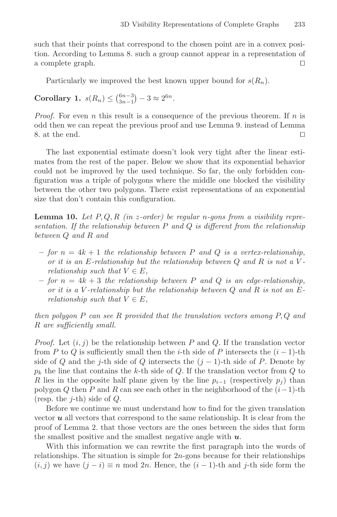such that their points that correspond to the chosen point are in a convex position. According to Lemma 8. such a group cannot appear in a representation of a complete graph. 

Particularly we improved the best known upper bound for  $s(R_n)$ .

**Corollary 1.**  $s(R_n) \leq {6n-3 \choose 3n-1} - 3 \approx 2^{6n}$ .

*Proof.* For even n this result is a consequence of the previous theorem. If n is odd then we can repeat the previous proof and use Lemma 9. instead of Lemma 8. at the end. 

The last exponential estimate doesn't look very tight after the linear estimates from the rest of the paper. Below we show that its exponential behavior could not be improved by the used technique. So far, the only forbidden configuration was a triple of polygons where the middle one blocked the visibility between the other two polygons. There exist representations of an exponential size that don't contain this configuration.

**Lemma 10.** Let  $P, Q, R$  (in z-order) be regular n-gons from a visibility representation. If the relationship between  $P$  and  $Q$  is different from the relationship between Q and R and

- $-$  for  $n = 4k + 1$  the relationship between P and Q is a vertex-relationship, or it is an E-relationship but the relationship between  $Q$  and  $R$  is not a Vrelationship such that  $V \in E$ ,
- $-$  for  $n = 4k + 3$  the relationship between P and Q is an edge-relationship, or it is a V-relationship but the relationship between  $Q$  and  $R$  is not an  $E$ relationship such that  $V \in E$ ,

then polygon  $P$  can see  $R$  provided that the translation vectors among  $P, Q$  and R are sufficiently small.

*Proof.* Let  $(i, j)$  be the relationship between P and Q. If the translation vector from P to Q is sufficiently small then the i-th side of P intersects the  $(i-1)$ -th side of Q and the j-th side of Q intersects the  $(j-1)$ -th side of P. Denote by  $p_k$  the line that contains the k-th side of Q. If the translation vector from Q to R lies in the opposite half plane given by the line  $p_{i-1}$  (respectively  $p_i$ ) than polygon Q then P and R can see each other in the neighborhood of the  $(i-1)$ -th (resp. the *j*-th) side of  $Q$ .

Before we continue we must understand how to find for the given translation vector *u* all vectors that correspond to the same relationship. It is clear from the proof of Lemma 2. that those vectors are the ones between the sides that form the smallest positive and the smallest negative angle with *u*.

With this information we can rewrite the first paragraph into the words of relationships. The situation is simple for  $2n$ -gons because for their relationships  $(i, j)$  we have  $(j - i) \equiv n \mod 2n$ . Hence, the  $(i - 1)$ -th and j-th side form the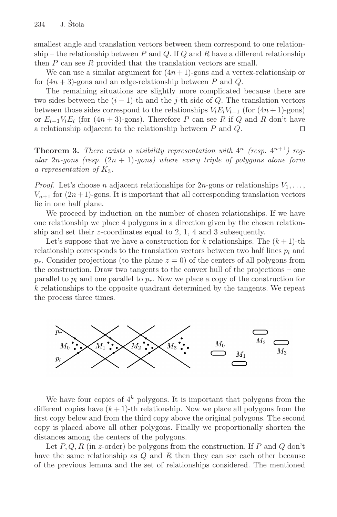smallest angle and translation vectors between them correspond to one relationship – the relationship between  $P$  and  $Q$ . If  $Q$  and  $R$  have a different relationship then  $P$  can see  $R$  provided that the translation vectors are small.

We can use a similar argument for  $(4n+1)$ -gons and a vertex-relationship or for  $(4n+3)$ -gons and an edge-relationship between P and Q.

The remaining situations are slightly more complicated because there are two sides between the  $(i - 1)$ -th and the j-th side of Q. The translation vectors between those sides correspond to the relationships  $V_l E_l V_{l+1}$  (for  $(4n+1)$ -gons) or  $E_{l-1}V_lE_l$  (for  $(4n + 3)$ -gons). Therefore P can see R if Q and R don't have a relationship adiacent to the relationship between P and Q. □ a relationship adjacent to the relationship between P and Q. 

**Theorem 3.** There exists a visibility representation with  $4^n$  (resp.  $4^{n+1}$ ) regular 2n-gons (resp.  $(2n + 1)$ -gons) where every triple of polygons alone form a representation of  $K_3$ .

*Proof.* Let's choose n adjacent relationships for  $2n$ -gons or relationships  $V_1, \ldots,$  $V_{n+1}$  for  $(2n+1)$ -gons. It is important that all corresponding translation vectors lie in one half plane.

We proceed by induction on the number of chosen relationships. If we have one relationship we place 4 polygons in a direction given by the chosen relationship and set their z-coordinates equal to 2, 1, 4 and 3 subsequently.

Let's suppose that we have a construction for k relationships. The  $(k+1)$ -th relationship corresponds to the translation vectors between two half lines  $p_l$  and  $p_r$ . Consider projections (to the plane  $z = 0$ ) of the centers of all polygons from the construction. Draw two tangents to the convex hull of the projections – one parallel to  $p_l$  and one parallel to  $p_r$ . Now we place a copy of the construction for  $k$  relationships to the opposite quadrant determined by the tangents. We repeat the process three times.



We have four copies of  $4^k$  polygons. It is important that polygons from the different copies have  $(k+1)$ -th relationship. Now we place all polygons from the first copy below and from the third copy above the original polygons. The second copy is placed above all other polygons. Finally we proportionally shorten the distances among the centers of the polygons.

Let  $P, Q, R$  (in z-order) be polygons from the construction. If P and Q don't have the same relationship as Q and R then they can see each other because of the previous lemma and the set of relationships considered. The mentioned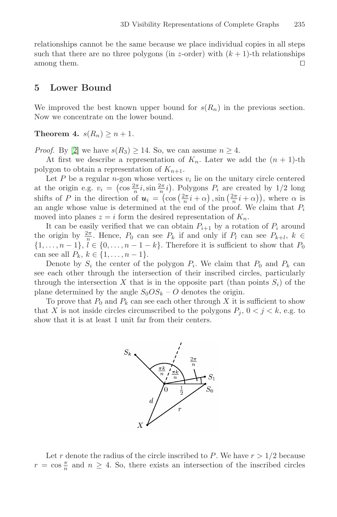relationships cannot be the same because we place individual copies in all steps such that there are no three polygons (in z-order) with  $(k + 1)$ -th relationships among them.

#### **5 Lower Bound**

We improved the best known upper bound for  $s(R_n)$  in the previous section. Now we concentrate on the lower bound.

**Theorem 4.**  $s(R_n) \geq n+1$ .

*Proof.* By [\[2\]](#page-11-0) we have  $s(R_3) \geq 14$ . So, we can assume  $n \geq 4$ .

At first we describe a representation of  $K_n$ . Later we add the  $(n + 1)$ -th polygon to obtain a representation of  $K_{n+1}$ .

Let P be a regular n-gon whose vertices  $v_i$  lie on the unitary circle centered at the origin e.g.  $v_i = (\cos \frac{2\pi}{n} i, \sin \frac{2\pi}{n} i)$ . Polygons  $P_i$  are created by 1/2 long shifts of P in the direction of  $u_i = (\cos(\frac{2\pi}{n}i + \alpha), \sin(\frac{2\pi}{n}i + \alpha))$ , where  $\alpha$  is an angle whose value is determined at the end of the proof. We claim that  $P_i$ moved into planes  $z = i$  form the desired representation of  $K_n$ .

It can be easily verified that we can obtain  $P_{i+1}$  by a rotation of  $P_i$  around the origin by  $\frac{2\pi}{n}$ . Hence,  $P_0$  can see  $P_k$  if and only if  $P_l$  can see  $P_{k+l}, k \in$  $\{1,\ldots,n-1\},\,\tilde{l}\in\{0,\ldots,n-1-k\}.$  Therefore it is sufficient to show that  $P_0$ can see all  $P_k, k \in \{1, ..., n-1\}.$ 

Denote by  $S_i$  the center of the polygon  $P_i$ . We claim that  $P_0$  and  $P_k$  can see each other through the intersection of their inscribed circles, particularly through the intersection X that is in the opposite part (than points  $S_i$ ) of the plane determined by the angle  $S_0OS_k - O$  denotes the origin.

To prove that  $P_0$  and  $P_k$  can see each other through X it is sufficient to show that X is not inside circles circumscribed to the polygons  $P_j$ ,  $0 < j < k$ , e.g. to show that it is at least 1 unit far from their centers.



Let r denote the radius of the circle inscribed to P. We have  $r > 1/2$  because  $r = \cos \frac{\pi}{n}$  and  $n \geq 4$ . So, there exists an intersection of the inscribed circles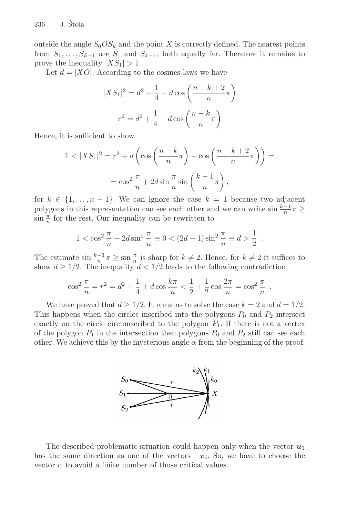outside the angle  $S_0OS_k$  and the point X is correctly defined. The nearest points from  $S_1, \ldots, S_{k-1}$  are  $S_1$  and  $S_{k-1}$ , both equally far. Therefore it remains to prove the inequality  $|XS_1| > 1$ .

Let  $d = |XO|$ . According to the cosines laws we have

$$
|XS_1|^2 = d^2 + \frac{1}{4} - d\cos\left(\frac{n-k+2}{n}\pi\right)
$$

$$
r^2 = d^2 + \frac{1}{4} - d\cos\left(\frac{n-k}{n}\pi\right)
$$

Hence, it is sufficient to show

$$
1 < |XS_1|^2 = r^2 + d\left(\cos\left(\frac{n-k}{n}\pi\right) - \cos\left(\frac{n-k+2}{n}\pi\right)\right) =
$$
\n
$$
= \cos^2\frac{\pi}{n} + 2d\sin\frac{\pi}{n}\sin\left(\frac{k-1}{n}\pi\right),
$$

for  $k \in \{1, \ldots, n-1\}$ . We can ignore the case  $k = 1$  because two adjacent polygons in this representation can see each other and we can write  $\sin \frac{k-1}{n}\pi \ge$  $\sin \frac{\pi}{n}$  for the rest. Our inequality can be rewritten to

$$
1 < \cos^2 \frac{\pi}{n} + 2d \sin^2 \frac{\pi}{n} \equiv 0 < (2d - 1) \sin^2 \frac{\pi}{n} \equiv d > \frac{1}{2} .
$$

The estimate  $\sin \frac{k-1}{n}\pi \geq \sin \frac{\pi}{n}$  is sharp for  $k \neq 2$ . Hence, for  $k \neq 2$  it suffices to show  $d \geq 1/2$ . The inequality  $d < 1/2$  leads to the following contradiction:

$$
\cos^2\frac{\pi}{n} = r^2 = d^2 + \frac{1}{4} + d\cos\frac{k\pi}{n} < \frac{1}{2} + \frac{1}{2}\cos\frac{2\pi}{n} = \cos^2\frac{\pi}{n} \ .
$$

We have proved that  $d \geq 1/2$ . It remains to solve the case  $k = 2$  and  $d = 1/2$ . This happens when the circles inscribed into the polygons  $P_0$  and  $P_2$  intersect exactly on the circle circumscribed to the polygon  $P_1$ . If there is not a vertex of the polygon  $P_1$  in the intersection then polygons  $P_0$  and  $P_2$  still can see each other. We achieve this by the mysterious angle  $\alpha$  from the beginning of the proof.



The described problematic situation could happen only when the vector *u*<sup>1</sup> has the same direction as one of the vectors  $-v_i$ . So, we have to choose the vector  $\alpha$  to avoid a finite number of those critical values.